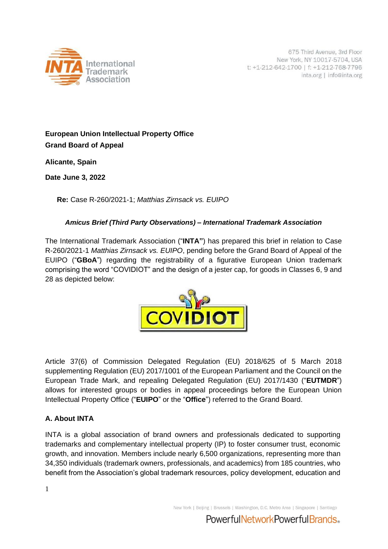

# **European Union Intellectual Property Office Grand Board of Appeal**

**Alicante, Spain**

**Date June 3, 2022**

**Re:** Case R-260/2021-1; *Matthias Zirnsack vs. EUIPO*

## *Amicus Brief (Third Party Observations) – International Trademark Association*

The International Trademark Association ("**INTA"**) has prepared this brief in relation to Case R-260/2021-1 *Matthias Zirnsack vs. EUIPO*, pending before the Grand Board of Appeal of the EUIPO ("**GBoA**") regarding the registrability of a figurative European Union trademark comprising the word "COVIDIOT" and the design of a jester cap, for goods in Classes 6, 9 and 28 as depicted below:



Article 37(6) of Commission Delegated Regulation (EU) 2018/625 of 5 March 2018 supplementing Regulation (EU) 2017/1001 of the European Parliament and the Council on the European Trade Mark, and repealing Delegated Regulation (EU) 2017/1430 ("**EUTMDR**") allows for interested groups or bodies in appeal proceedings before the European Union Intellectual Property Office ("**EUIPO**" or the "**Office**") referred to the Grand Board.

## **A. About INTA**

INTA is a global association of brand owners and professionals dedicated to supporting trademarks and complementary intellectual property (IP) to foster consumer trust, economic growth, and innovation. Members include nearly 6,500 organizations, representing more than 34,350 individuals (trademark owners, professionals, and academics) from 185 countries, who benefit from the Association's global trademark resources, policy development, education and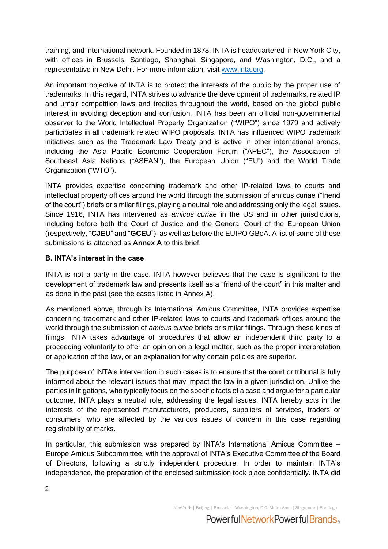training, and international network. Founded in 1878, INTA is headquartered in New York City, with offices in Brussels, Santiago, Shanghai, Singapore, and Washington, D.C., and a representative in New Delhi. For more information, visit [www.inta.org.](http://www.inta.org/)

An important objective of INTA is to protect the interests of the public by the proper use of trademarks. In this regard, INTA strives to advance the development of trademarks, related IP and unfair competition laws and treaties throughout the world, based on the global public interest in avoiding deception and confusion. INTA has been an official non-governmental observer to the World Intellectual Property Organization ("WIPO") since 1979 and actively participates in all trademark related WIPO proposals. INTA has influenced WIPO trademark initiatives such as the Trademark Law Treaty and is active in other international arenas, including the Asia Pacific Economic Cooperation Forum ("APEC"), the Association of Southeast Asia Nations ("ASEAN"), the European Union ("EU") and the World Trade Organization ("WTO").

INTA provides expertise concerning trademark and other IP-related laws to courts and intellectual property offices around the world through the submission of amicus curiae ("friend of the court") briefs or similar filings, playing a neutral role and addressing only the legal issues. Since 1916, INTA has intervened as *amicus curiae* in the US and in other jurisdictions, including before both the Court of Justice and the General Court of the European Union (respectively, "**CJEU**" and "**GCEU**"), as well as before the EUIPO GBoA. A list of some of these submissions is attached as **Annex A** to this brief.

## **B. INTA's interest in the case**

INTA is not a party in the case. INTA however believes that the case is significant to the development of trademark law and presents itself as a "friend of the court" in this matter and as done in the past (see the cases listed in Annex A).

As mentioned above, through its International Amicus Committee, INTA provides expertise concerning trademark and other IP-related laws to courts and trademark offices around the world through the submission of *amicus curiae* briefs or similar filings. Through these kinds of filings, INTA takes advantage of procedures that allow an independent third party to a proceeding voluntarily to offer an opinion on a legal matter, such as the proper interpretation or application of the law, or an explanation for why certain policies are superior.

The purpose of INTA's intervention in such cases is to ensure that the court or tribunal is fully informed about the relevant issues that may impact the law in a given jurisdiction. Unlike the parties in litigations, who typically focus on the specific facts of a case and argue for a particular outcome, INTA plays a neutral role, addressing the legal issues. INTA hereby acts in the interests of the represented manufacturers, producers, suppliers of services, traders or consumers, who are affected by the various issues of concern in this case regarding registrability of marks.

In particular, this submission was prepared by INTA's International Amicus Committee – Europe Amicus Subcommittee, with the approval of INTA's Executive Committee of the Board of Directors, following a strictly independent procedure. In order to maintain INTA's independence, the preparation of the enclosed submission took place confidentially. INTA did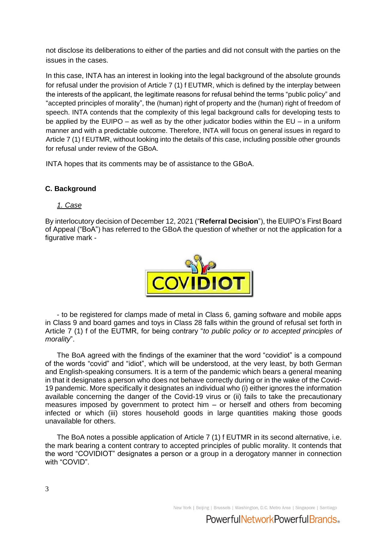not disclose its deliberations to either of the parties and did not consult with the parties on the issues in the cases.

In this case, INTA has an interest in looking into the legal background of the absolute grounds for refusal under the provision of Article 7 (1) f EUTMR, which is defined by the interplay between the interests of the applicant, the legitimate reasons for refusal behind the terms "public policy" and "accepted principles of morality", the (human) right of property and the (human) right of freedom of speech. INTA contends that the complexity of this legal background calls for developing tests to be applied by the EUIPO – as well as by the other judicator bodies within the EU – in a uniform manner and with a predictable outcome. Therefore, INTA will focus on general issues in regard to Article 7 (1) f EUTMR, without looking into the details of this case, including possible other grounds for refusal under review of the GBoA.

INTA hopes that its comments may be of assistance to the GBoA.

## **C. Background**

## *1. Case*

By interlocutory decision of December 12, 2021 ("**Referral Decision**"), the EUIPO's First Board of Appeal ("BoA") has referred to the GBoA the question of whether or not the application for a figurative mark -



- to be registered for clamps made of metal in Class 6, gaming software and mobile apps in Class 9 and board games and toys in Class 28 falls within the ground of refusal set forth in Article 7 (1) f of the EUTMR, for being contrary "*to public policy or to accepted principles of morality*".

The BoA agreed with the findings of the examiner that the word "covidiot" is a compound of the words "covid" and "idiot", which will be understood, at the very least, by both German and English-speaking consumers. It is a term of the pandemic which bears a general meaning in that it designates a person who does not behave correctly during or in the wake of the Covid-19 pandemic. More specifically it designates an individual who (i) either ignores the information available concerning the danger of the Covid-19 virus or (ii) fails to take the precautionary measures imposed by government to protect him – or herself and others from becoming infected or which (iii) stores household goods in large quantities making those goods unavailable for others.

The BoA notes a possible application of Article 7 (1) f EUTMR in its second alternative, i.e. the mark bearing a content contrary to accepted principles of public morality. It contends that the word "COVIDIOT" designates a person or a group in a derogatory manner in connection with "COVID".

New York | Beiling | Brussels | Washington, D.C. Metro Area | Singapore | Santiago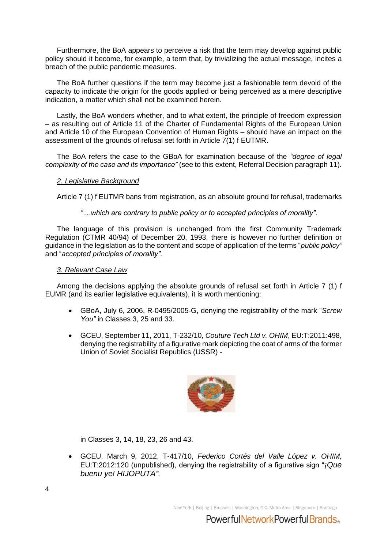Furthermore, the BoA appears to perceive a risk that the term may develop against public policy should it become, for example, a term that, by trivializing the actual message, incites a breach of the public pandemic measures.

The BoA further questions if the term may become just a fashionable term devoid of the capacity to indicate the origin for the goods applied or being perceived as a mere descriptive indication, a matter which shall not be examined herein.

Lastly, the BoA wonders whether, and to what extent, the principle of freedom expression – as resulting out of Article 11 of the Charter of Fundamental Rights of the European Union and Article 10 of the European Convention of Human Rights – should have an impact on the assessment of the grounds of refusal set forth in Article 7(1) f EUTMR.

The BoA refers the case to the GBoA for examination because of the *"degree of legal complexity of the case and its importance"* (see to this extent, Referral Decision paragraph 11).

## *2. Legislative Background*

Article 7 (1) f EUTMR bans from registration, as an absolute ground for refusal, trademarks

"*…which are contrary to public policy or to accepted principles of morality".*

The language of this provision is unchanged from the first Community Trademark Regulation (CTMR 40/94) of December 20, 1993, there is however no further definition or guidance in the legislation as to the content and scope of application of the terms "*public policy"*  and "*accepted principles of morality".*

## *3. Relevant Case Law*

Among the decisions applying the absolute grounds of refusal set forth in Article 7 (1) f EUMR (and its earlier legislative equivalents), it is worth mentioning:

- GBoA, July 6, 2006, R-0495/2005-G, denying the registrability of the mark "*Screw You"* in Classes 3, 25 and 33.
- GCEU, September 11, 2011, T-232/10, *Couture Tech Ltd v. OHIM*, EU:T:2011:498, denying the registrability of a figurative mark depicting the coat of arms of the former Union of Soviet Socialist Republics (USSR) -



in Classes 3, 14, 18, 23, 26 and 43.

• GCEU, March 9, 2012, T-417/10, *Federico Cortés del Valle López v. OHIM,*  EU:T:2012:120 (unpublished), denying the registrability of a figurative sign "*¡Que buenu ye! HIJOPUTA"*.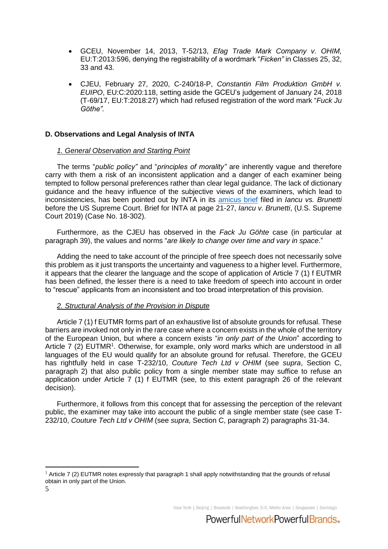- GCEU, November 14, 2013, T-52/13, *Efag Trade Mark Company v. OHIM,* EU:T:2013:596, denying the registrability of a wordmark "*Ficken"* in Classes 25, 32, 33 and 43.
- CJEU, February 27, 2020, C-240/18-P, *Constantin Film Produktion GmbH v. EUIPO*, EU:C:2020:118, setting aside the GCEU's judgement of January 24, 2018 (T-69/17, EU:T:2018:27) which had refused registration of the word mark "*Fuck Ju Göthe".*

## **D. Observations and Legal Analysis of INTA**

### *1. General Observation and Starting Point*

The terms "*public policy"* and "*principles of morality"* are inherently vague and therefore carry with them a risk of an inconsistent application and a danger of each examiner being tempted to follow personal preferences rather than clear legal guidance. The lack of dictionary guidance and the heavy influence of the subjective views of the examiners, which lead to inconsistencies, has been pointed out by INTA in its [amicus brief](https://www.inta.org/wp-content/uploads/public-files/advocacy/amicus-briefs/287422_Brief.pdf) filed in *Iancu vs. Brunetti* before the US Supreme Court. Brief for INTA at page 21-27, *Iancu v. Brunetti*, (U.S. Supreme Court 2019) (Case No. 18-302).

Furthermore, as the CJEU has observed in the *Fack Ju Göhte* case (in particular at paragraph 39), the values and norms "*are likely to change over time and vary in space*."

Adding the need to take account of the principle of free speech does not necessarily solve this problem as it just transports the uncertainty and vagueness to a higher level. Furthermore, it appears that the clearer the language and the scope of application of Article 7 (1) f EUTMR has been defined, the lesser there is a need to take freedom of speech into account in order to "rescue" applicants from an inconsistent and too broad interpretation of this provision.

### *2. Structural Analysis of the Provision in Dispute*

Article 7 (1) f EUTMR forms part of an exhaustive list of absolute grounds for refusal. These barriers are invoked not only in the rare case where a concern exists in the whole of the territory of the European Union, but where a concern exists "*in only part of the Union*" according to Article 7 (2) EUTMR<sup>1</sup>. Otherwise, for example, only word marks which are understood in all languages of the EU would qualify for an absolute ground for refusal. Therefore, the GCEU has rightfully held in case T-232/10, *Couture Tech Ltd v OHIM* (see *supra*, Section C, paragraph 2) that also public policy from a single member state may suffice to refuse an application under Article 7 (1) f EUTMR (see, to this extent paragraph 26 of the relevant decision).

Furthermore, it follows from this concept that for assessing the perception of the relevant public, the examiner may take into account the public of a single member state (see case T-232/10, *Couture Tech Ltd v OHIM* (see *supra*, Section C, paragraph 2) paragraphs 31-34.

New York | Beiling | Brussels | Washington, D.C. Metro Area | Singapore | Santiago

 $1$  Article 7 (2) EUTMR notes expressly that paragraph 1 shall apply notwithstanding that the grounds of refusal obtain in only part of the Union.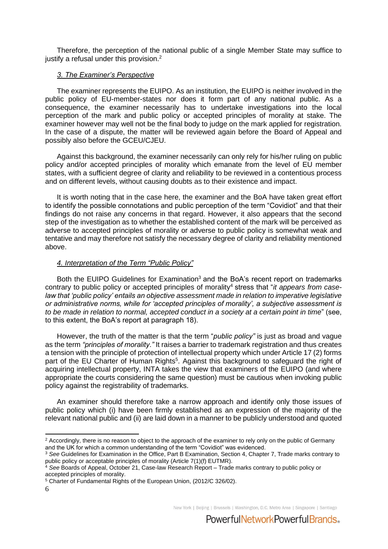Therefore, the perception of the national public of a single Member State may suffice to justify a refusal under this provision. $2$ 

## *3. The Examiner's Perspective*

The examiner represents the EUIPO. As an institution, the EUIPO is neither involved in the public policy of EU-member-states nor does it form part of any national public. As a consequence, the examiner necessarily has to undertake investigations into the local perception of the mark and public policy or accepted principles of morality at stake. The examiner however may well not be the final body to judge on the mark applied for registration. In the case of a dispute, the matter will be reviewed again before the Board of Appeal and possibly also before the GCEU/CJEU.

Against this background, the examiner necessarily can only rely for his/her ruling on public policy and/or accepted principles of morality which emanate from the level of EU member states, with a sufficient degree of clarity and reliability to be reviewed in a contentious process and on different levels, without causing doubts as to their existence and impact.

It is worth noting that in the case here, the examiner and the BoA have taken great effort to identify the possible connotations and public perception of the term "Covidiot" and that their findings do not raise any concerns in that regard. However, it also appears that the second step of the investigation as to whether the established content of the mark will be perceived as adverse to accepted principles of morality or adverse to public policy is somewhat weak and tentative and may therefore not satisfy the necessary degree of clarity and reliability mentioned above.

## *4. Interpretation of the Term "Public Policy"*

Both the EUIPO Guidelines for Examination<sup>3</sup> and the BoA's recent report on trademarks contrary to public policy or accepted principles of morality<sup>4</sup> stress that "*it appears from case*law that 'public policy' entails an objective assessment made in relation to imperative legislative *or administrative norms, while for 'accepted principles of morality', a subjective assessment is to be made in relation to normal, accepted conduct in a society at a certain point in time*" (see, to this extent, the BoA's report at paragraph 18).

However, the truth of the matter is that the term "*public policy"* is just as broad and vague as the term *"principles of morality*.*"* It raises a barrier to trademark registration and thus creates a tension with the principle of protection of intellectual property which under Article 17 (2) forms part of the EU Charter of Human Rights<sup>5</sup>. Against this background to safeguard the right of acquiring intellectual property, INTA takes the view that examiners of the EUIPO (and where appropriate the courts considering the same question) must be cautious when invoking public policy against the registrability of trademarks.

An examiner should therefore take a narrow approach and identify only those issues of public policy which (i) have been firmly established as an expression of the majority of the relevant national public and (ii) are laid down in a manner to be publicly understood and quoted

New York | Beiling | Brussels | Washington, D.C. Metro Area | Singapore | Santiago

<sup>&</sup>lt;sup>2</sup> Accordingly, there is no reason to object to the approach of the examiner to rely only on the public of Germany and the UK for which a common understanding of the term "Covidiot" was evidenced.

<sup>3</sup> *See* Guidelines for Examination in the Office, Part B Examination, Section 4, Chapter 7, Trade marks contrary to public policy or acceptable principles of morality (Article 7(1)(f) EUTMR).

<sup>4</sup> *See* Boards of Appeal, October 21, Case-law Research Report – Trade marks contrary to public policy or accepted principles of morality.

<sup>5</sup> Charter of Fundamental Rights of the European Union, (2012/C 326/02).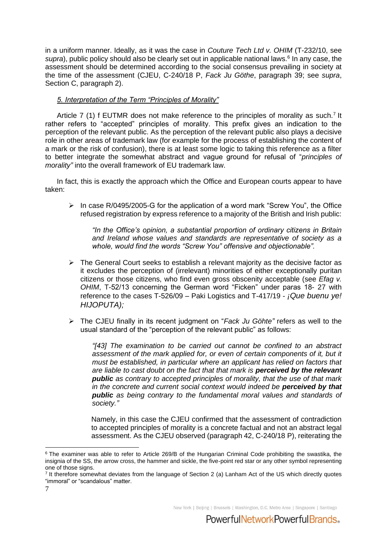in a uniform manner. Ideally, as it was the case in *Couture Tech Ltd v. OHIM* (T-232/10, see supra), public policy should also be clearly set out in applicable national laws.<sup>6</sup> In any case, the assessment should be determined according to the social consensus prevailing in society at the time of the assessment (CJEU, C-240/18 P, *Fack Ju Göthe*, paragraph 39; see *supra*, Section C, paragraph 2).

## *5. Interpretation of the Term "Principles of Morality"*

Article 7 (1) f EUTMR does not make reference to the principles of morality as such.<sup>7</sup> It rather refers to "accepted" principles of morality. This prefix gives an indication to the perception of the relevant public. As the perception of the relevant public also plays a decisive role in other areas of trademark law (for example for the process of establishing the content of a mark or the risk of confusion), there is at least some logic to taking this reference as a filter to better integrate the somewhat abstract and vague ground for refusal of "*principles of morality"* into the overall framework of EU trademark law.

In fact, this is exactly the approach which the Office and European courts appear to have taken:

➢ In case R/0495/2005-G for the application of a word mark "Screw You", the Office refused registration by express reference to a majority of the British and Irish public:

*"In the Office's opinion, a substantial proportion of ordinary citizens in Britain and Ireland whose values and standards are representative of society as a whole, would find the words "Screw You" offensive and objectionable".* 

- ➢ The General Court seeks to establish a relevant majority as the decisive factor as it excludes the perception of (irrelevant) minorities of either exceptionally puritan citizens or those citizens, who find even gross obscenity acceptable (see *Efag v. OHIM*, T-52/13 concerning the German word "Ficken" under paras 18- 27 with reference to the cases T-526/09 – Paki Logistics and T-417/19 - *¡Que buenu ye! HIJOPUTA);*
- ➢ The CJEU finally in its recent judgment on "*Fack Ju Göhte"* refers as well to the usual standard of the "perception of the relevant public" as follows:

*"[43] The examination to be carried out cannot be confined to an abstract*  assessment of the mark applied for, or even of certain components of it, but it *must be established, in particular where an applicant has relied on factors that are liable to cast doubt on the fact that that mark is perceived by the relevant public as contrary to accepted principles of morality, that the use of that mark in the concrete and current social context would indeed be perceived by that public as being contrary to the fundamental moral values and standards of society."* 

Namely, in this case the CJEU confirmed that the assessment of contradiction to accepted principles of morality is a concrete factual and not an abstract legal assessment. As the CJEU observed (paragraph 42, C-240/18 P), reiterating the

<sup>6</sup> The examiner was able to refer to Article 269/B of the Hungarian Criminal Code prohibiting the swastika, the insignia of the SS, the arrow cross, the hammer and sickle, the five-point red star or any other symbol representing one of those signs.

<sup>&</sup>lt;sup>7</sup> It therefore somewhat deviates from the language of Section 2 (a) Lanham Act of the US which directly quotes "immoral" or "scandalous" matter.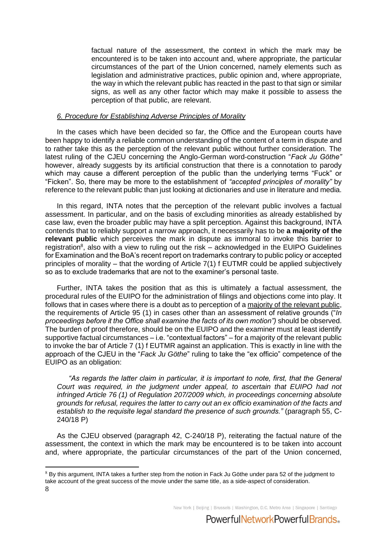factual nature of the assessment, the context in which the mark may be encountered is to be taken into account and, where appropriate, the particular circumstances of the part of the Union concerned, namely elements such as legislation and administrative practices, public opinion and, where appropriate, the way in which the relevant public has reacted in the past to that sign or similar signs, as well as any other factor which may make it possible to assess the perception of that public, are relevant.

#### *6. Procedure for Establishing Adverse Principles of Morality*

In the cases which have been decided so far, the Office and the European courts have been happy to identify a reliable common understanding of the content of a term in dispute and to rather take this as the perception of the relevant public without further consideration. The latest ruling of the CJEU concerning the Anglo-German word-construction "*Fack Ju Göthe"*  however, already suggests by its artificial construction that there is a connotation to parody which may cause a different perception of the public than the underlying terms "Fuck" or "Ficken". So, there may be more to the establishment of *"accepted principles of morality"* by reference to the relevant public than just looking at dictionaries and use in literature and media.

In this regard, INTA notes that the perception of the relevant public involves a factual assessment. In particular, and on the basis of excluding minorities as already established by case law, even the broader public may have a split perception. Against this background, INTA contends that to reliably support a narrow approach, it necessarily has to be **a majority of the relevant public** which perceives the mark in dispute as immoral to invoke this barrier to registration<sup>8</sup>, also with a view to ruling out the risk – acknowledged in the EUIPO Guidelines for Examination and the BoA's recent report on trademarks contrary to public policy or accepted principles of morality – that the wording of Article 7(1) f EUTMR could be applied subjectively so as to exclude trademarks that are not to the examiner's personal taste.

Further, INTA takes the position that as this is ultimately a factual assessment, the procedural rules of the EUIPO for the administration of filings and objections come into play. It follows that in cases where there is a doubt as to perception of a majority of the relevant public, the requirements of Article 95 (1) in cases other than an assessment of relative grounds ("*In proceedings before it the Office shall examine the facts of its own motion")* should be observed. The burden of proof therefore, should be on the EUIPO and the examiner must at least identify supportive factual circumstances – i.e. "contextual factors" – for a majority of the relevant public to invoke the bar of Article 7 (1) f EUTMR against an application. This is exactly in line with the approach of the CJEU in the "*Fack Ju Göthe*" ruling to take the "ex officio" competence of the EUIPO as an obligation:

*"As regards the latter claim in particular, it is important to note, first, that the General Court was required, in the judgment under appeal, to ascertain that EUIPO had not infringed Article 76 (1) of Regulation 207/2009 which, in proceedings concerning absolute grounds for refusal, requires the latter to carry out an ex officio examination of the facts and establish to the requisite legal standard the presence of such grounds."* (paragraph 55, C-240/18 P)

As the CJEU observed (paragraph 42, C-240/18 P), reiterating the factual nature of the assessment, the context in which the mark may be encountered is to be taken into account and, where appropriate, the particular circumstances of the part of the Union concerned,

New York | Beiling | Brussels | Washington, D.C. Metro Area | Singapore | Santiago

<sup>8</sup> <sup>8</sup> By this argument, INTA takes a further step from the notion in Fack Ju Göthe under para 52 of the judgment to take account of the great success of the movie under the same title, as a side-aspect of consideration.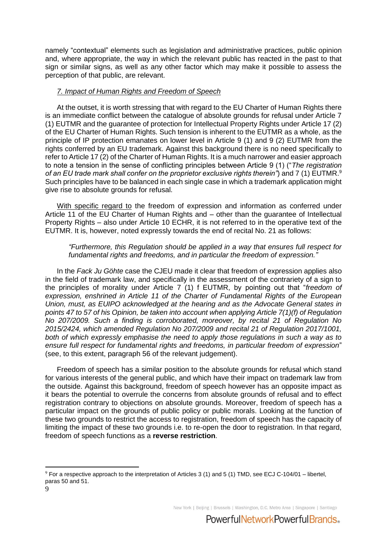namely "contextual" elements such as legislation and administrative practices, public opinion and, where appropriate, the way in which the relevant public has reacted in the past to that sign or similar signs, as well as any other factor which may make it possible to assess the perception of that public, are relevant.

## *7. Impact of Human Rights and Freedom of Speech*

At the outset, it is worth stressing that with regard to the EU Charter of Human Rights there is an immediate conflict between the catalogue of absolute grounds for refusal under Article 7 (1) EUTMR and the guarantee of protection for Intellectual Property Rights under Article 17 (2) of the EU Charter of Human Rights. Such tension is inherent to the EUTMR as a whole, as the principle of IP protection emanates on lower level in Article 9 (1) and 9 (2) EUTMR from the rights conferred by an EU trademark. Against this background there is no need specifically to refer to Article 17 (2) of the Charter of Human Rights. It is a much narrower and easier approach to note a tension in the sense of conflicting principles between Article 9 (1) ("*The registration of an EU trade mark shall confer on the proprietor exclusive rights therein"*) and 7 (1) EUTMR.<sup>9</sup> Such principles have to be balanced in each single case in which a trademark application might give rise to absolute grounds for refusal.

With specific regard to the freedom of expression and information as conferred under Article 11 of the EU Charter of Human Rights and – other than the guarantee of Intellectual Property Rights – also under Article 10 ECHR, it is not referred to in the operative text of the EUTMR. It is, however, noted expressly towards the end of recital No. 21 as follows:

## *"Furthermore, this Regulation should be applied in a way that ensures full respect for fundamental rights and freedoms, and in particular the freedom of expression."*

In the *Fack Ju Göhte* case the CJEU made it clear that freedom of expression applies also in the field of trademark law, and specifically in the assessment of the contrariety of a sign to the principles of morality under Article 7 (1) f EUTMR, by pointing out that "*freedom of expression, enshrined in Article 11 of the Charter of Fundamental Rights of the European Union, must, as EUIPO acknowledged at the hearing and as the Advocate General states in points 47 to 57 of his Opinion, be taken into account when applying Article 7(1)(f) of Regulation No 207/2009. Such a finding is corroborated, moreover, by recital 21 of Regulation No 2015/2424, which amended Regulation No 207/2009 and recital 21 of Regulation 2017/1001, both of which expressly emphasise the need to apply those regulations in such a way as to ensure full respect for fundamental rights and freedoms, in particular freedom of expression*" (see, to this extent, paragraph 56 of the relevant judgement).

Freedom of speech has a similar position to the absolute grounds for refusal which stand for various interests of the general public, and which have their impact on trademark law from the outside. Against this background, freedom of speech however has an opposite impact as it bears the potential to overrule the concerns from absolute grounds of refusal and to effect registration contrary to objections on absolute grounds. Moreover, freedom of speech has a particular impact on the grounds of public policy or public morals. Looking at the function of these two grounds to restrict the access to registration, freedom of speech has the capacity of limiting the impact of these two grounds i.e. to re-open the door to registration. In that regard, freedom of speech functions as a **reverse restriction**.

New York | Beiling | Brussels | Washington, D.C. Metro Area | Singapore | Santiago

 $9$  For a respective approach to the interpretation of Articles 3 (1) and 5 (1) TMD, see ECJ C-104/01 – libertel, paras 50 and 51.

<sup>9</sup>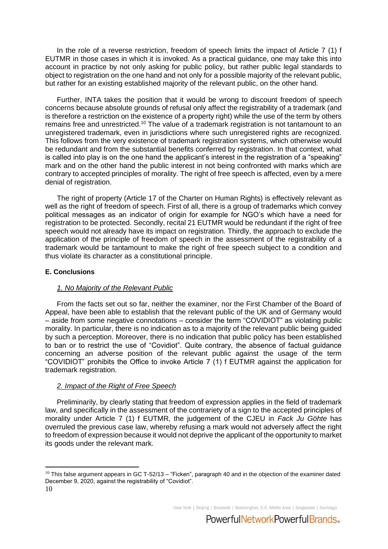In the role of a reverse restriction, freedom of speech limits the impact of Article 7 (1) f EUTMR in those cases in which it is invoked. As a practical guidance, one may take this into account in practice by not only asking for public policy, but rather public legal standards to object to registration on the one hand and not only for a possible majority of the relevant public, but rather for an existing established majority of the relevant public, on the other hand.

Further, INTA takes the position that it would be wrong to discount freedom of speech concerns because absolute grounds of refusal only affect the registrability of a trademark (and is therefore a restriction on the existence of a property right) while the use of the term by others remains free and unrestricted.<sup>10</sup> The value of a trademark registration is not tantamount to an unregistered trademark, even in jurisdictions where such unregistered rights are recognized. This follows from the very existence of trademark registration systems, which otherwise would be redundant and from the substantial benefits conferred by registration. In that context, what is called into play is on the one hand the applicant's interest in the registration of a "speaking" mark and on the other hand the public interest in not being confronted with marks which are contrary to accepted principles of morality. The right of free speech is affected, even by a mere denial of registration.

The right of property (Article 17 of the Charter on Human Rights) is effectively relevant as well as the right of freedom of speech. First of all, there is a group of trademarks which convey political messages as an indicator of origin for example for NGO's which have a need for registration to be protected. Secondly, recital 21 EUTMR would be redundant if the right of free speech would not already have its impact on registration. Thirdly, the approach to exclude the application of the principle of freedom of speech in the assessment of the registrability of a trademark would be tantamount to make the right of free speech subject to a condition and thus violate its character as a constitutional principle.

#### **E. Conclusions**

### *1. No Majority of the Relevant Public*

From the facts set out so far, neither the examiner, nor the First Chamber of the Board of Appeal, have been able to establish that the relevant public of the UK and of Germany would – aside from some negative connotations – consider the term "COVIDIOT" as violating public morality. In particular, there is no indication as to a majority of the relevant public being guided by such a perception. Moreover, there is no indication that public policy has been established to ban or to restrict the use of "Covidiot". Quite contrary, the absence of factual guidance concerning an adverse position of the relevant public against the usage of the term "COVIDIOT" prohibits the Office to invoke Article 7 (1) f EUTMR against the application for trademark registration.

### *2. Impact of the Right of Free Speech*

Preliminarily, by clearly stating that freedom of expression applies in the field of trademark law, and specifically in the assessment of the contrariety of a sign to the accepted principles of morality under Article 7 (1) f EUTMR, the judgement of the CJEU in *Fack Ju Göhte* has overruled the previous case law, whereby refusing a mark would not adversely affect the right to freedom of expression because it would not deprive the applicant of the opportunity to market its goods under the relevant mark.

New York | Beiling | Brussels | Washington, D.C. Metro Area | Singapore | Santiago

 $10$  This false argument appears in GC T-52/13 – "Ficken", paragraph 40 and in the objection of the examiner dated December 9, 2020, against the registrability of "Covidiot".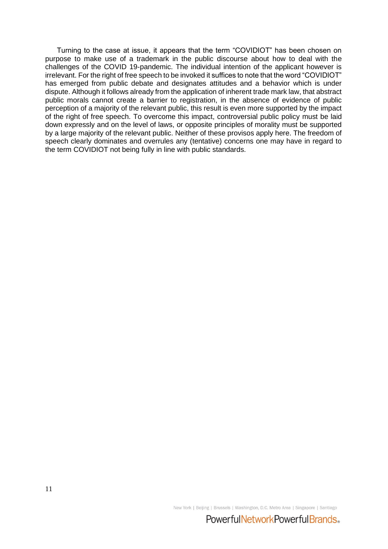Turning to the case at issue, it appears that the term "COVIDIOT" has been chosen on purpose to make use of a trademark in the public discourse about how to deal with the challenges of the COVID 19-pandemic. The individual intention of the applicant however is irrelevant. For the right of free speech to be invoked it suffices to note that the word "COVIDIOT" has emerged from public debate and designates attitudes and a behavior which is under dispute. Although it follows already from the application of inherent trade mark law, that abstract public morals cannot create a barrier to registration, in the absence of evidence of public perception of a majority of the relevant public, this result is even more supported by the impact of the right of free speech. To overcome this impact, controversial public policy must be laid down expressly and on the level of laws, or opposite principles of morality must be supported by a large majority of the relevant public. Neither of these provisos apply here. The freedom of speech clearly dominates and overrules any (tentative) concerns one may have in regard to the term COVIDIOT not being fully in line with public standards.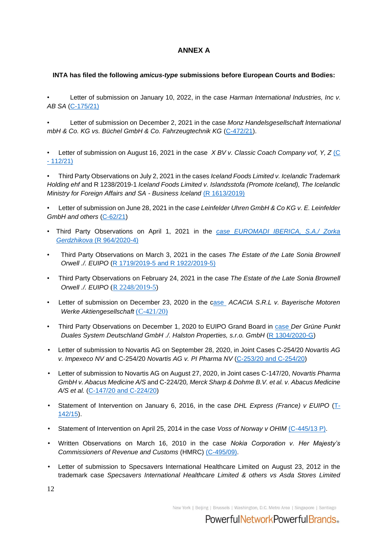## **ANNEX A**

## **INTA has filed the following** *amicus-type* **submissions before European Courts and Bodies:**

• Letter of submission on January 10, 2022, in the case *Harman International Industries, Inc v. AB SA* [\(C-175/21\)](https://www.inta.org/wp-content/uploads/public-files/advocacy/amicus-briefs/20220110-Harman-Intl-v-AB-SA-INTA-Amicus-Brief-Jan-2022.pdf)

• Letter of submission on December 2, 2021 in the case *[Monz Handelsgesellschaft lnternational](https://www.inta.org/wp-content/uploads/public-files/advocacy/amicus-briefs/081621_X_BV_v_Classic_Coach_Company_INTA_Amicus_Brief.pdf)  [mbH & Co. KG vs. Büchel GmbH & Co. Fahrzeugtechnik KG](https://www.inta.org/wp-content/uploads/public-files/advocacy/amicus-briefs/081621_X_BV_v_Classic_Coach_Company_INTA_Amicus_Brief.pdf)* [\(C-472/21\)](https://www.inta.org/wp-content/uploads/public-files/advocacy/amicus-briefs/20211202-Monz-v-Buechel-INTA-Amicus-Brief.pdf).

• Letter of submission on August 16, 2021 in the case *[X BV v. Classic Coach Company vof, Y, Z](https://www.inta.org/wp-content/uploads/public-files/advocacy/amicus-briefs/081621_X_BV_v_Classic_Coach_Company_INTA_Amicus_Brief.pdf)* [\(C](https://www.inta.org/wp-content/uploads/public-files/advocacy/amicus-briefs/081621_X_BV_v_Classic_Coach_Company_INTA_Amicus_Brief.pdf)  - [112/21\)](https://www.inta.org/wp-content/uploads/public-files/advocacy/amicus-briefs/081621_X_BV_v_Classic_Coach_Company_INTA_Amicus_Brief.pdf)

• Third Party Observations on July 2, 2021 in the cases *Iceland Foods Limited v. Icelandic Trademark Holding ehf* and R 1238/2019-1 *Iceland Foods Limited v. Islandsstofa (Promote Iceland), The Icelandic Ministry for Foreign Affairs and SA - Business Iceland* [\(R 1613/2019\)](https://www.inta.org/wp-content/uploads/public-files/advocacy/amicus-briefs/20210702_INTA-Europe-Amicus-BRIEF-Iceland-Final.pdf)

• Letter of submission on June 28, 2021 in the c*[ase Leinfelder Uhren GmbH & Co KG v. E. Leinfelder](https://www.inta.org/wp-content/uploads/public-files/advocacy/amicus-briefs/20210628_INTA-Europe-Amicus-BRIEF-Leinfelder-Final.pdf)*  [GmbH and others](https://www.inta.org/wp-content/uploads/public-files/advocacy/amicus-briefs/20210628_INTA-Europe-Amicus-BRIEF-Leinfelder-Final.pdf) [\(C-62/21\)](https://www.inta.org/wp-content/uploads/public-files/advocacy/amicus-briefs/20210628_INTA-Europe-Amicus-BRIEF-Leinfelder-Final.pdf)

- Third Party Observations on April 1, 2021 in the *case [EUROMADI IBERICA, S.A./ Zorka](https://www.inta.org/wp-content/uploads/public-files/advocacy/amicus-briefs/INTA-Amicus-Brief-EUIPO-Grand-BoA-Case-R-964_2020-4-FV.pdf)  [Gerdzhikova](https://www.inta.org/wp-content/uploads/public-files/advocacy/amicus-briefs/INTA-Amicus-Brief-EUIPO-Grand-BoA-Case-R-964_2020-4-FV.pdf)* [\(R 964/2020-4\)](https://www.inta.org/wp-content/uploads/public-files/advocacy/amicus-briefs/INTA-Amicus-Brief-EUIPO-Grand-BoA-Case-R-964_2020-4-FV.pdf)
- Third Party Observations on March 3, 2021 in the cases *The Estate of the Late Sonia Brownell Orwell ./. EUIPO* [\(R 1719/2019-5 and R 1922/2019-5\)](https://www.inta.org/wp-content/uploads/public-files/advocacy/amicus-briefs/INTA-Third-Party-Observations-EUIPO-Grand-BoA_Titles.pdf)
- Third Party Observations on February 24, 2021 in the case *The Estate of the Late Sonia Brownell Orwell ./. EUIPO* [\(R 2248/2019-5](https://www.inta.org/wp-content/uploads/public-files/advocacy/amicus-briefs/INTA-Third-Party-Observations-EUIPO-Grand-BoA-Case-R-2248-2019-5.pdf))
- Letter of submission on December 23, 2020 in the [case](https://www.inta.org/wp-content/uploads/public-files/advocacy/amicus-briefs/INTA_Europe_Amicus_BMW-Acacia_Amicus_Submission.pdf) *ACACIA S.R.L v. Bayerische Motoren Werke Aktiengesellschaft* [\(C-421/20\)](https://www.inta.org/wp-content/uploads/public-files/advocacy/amicus-briefs/INTA_Europe_Amicus_BMW-Acacia_Amicus_Submission.pdf)
- Third Party Observations on December 1, 2020 to EUIPO Grand Board in [case](https://www.inta.org/wp-content/uploads/public-files/advocacy/amicus-briefs/INTA_Third_Party_Observations_EUIPO_Grand_BoA_Case_R_1304_2020-G.pdf) *Der Grüne Punkt Duales System Deutschland GmbH ./. Halston Properties, s.r.o. GmbH* (R [1304/2020-G\)](https://www.inta.org/wp-content/uploads/public-files/advocacy/amicus-briefs/INTA_Third_Party_Observations_EUIPO_Grand_BoA_Case_R_1304_2020-G.pdf)
- Letter of submission to Novartis AG on September 28, 2020, in Joint Cases C-254/20 *Novartis AG v. Impexeco NV* and C-254/20 *Novartis AG v. PI Pharma NV* [\(C-253/20 and C-254/20\)](https://www.inta.org/amicus-brief/joint-cases-c-253-20-novartis-ag-v-impexeco-nv-and-c-254-20-novartis-ag-v-pi-pharma-nv/)
- Letter of submission to Novartis AG on August 27, 2020, in Joint cases C-147/20, *Novartis Pharma GmbH v. Abacus Medicine A/S* and C-224/20*, Merck Sharp & Dohme B.V. et al. v. Abacus Medicine A/S et al.* [\(C-147/20 and C-224/20\)](https://www.inta.org/wp-content/uploads/public-files/advocacy/amicus-briefs/INTA_Europe_Amicus_Novartis_Brief_FINAL.pdf)
- Statement of Intervention on January 6, 2016, in the case *DHL Express (France) v EUIPO* [\(T-](http://www.inta.org/Advocacy/Documents/2016/GC%20EU%20Statement%20of%20intervention%20INTA%20WEBSHIPPING%20TdH%2006.01.2016%20(ENG).pdf)[142/15\)](http://www.inta.org/Advocacy/Documents/2016/GC%20EU%20Statement%20of%20intervention%20INTA%20WEBSHIPPING%20TdH%2006.01.2016%20(ENG).pdf).
- Statement of Intervention on April 25, 2014 in the case *Voss of Norway v OHIM* [\(C-445/13 P\).](https://www.inta.org/INTABulletin/Documents/Vos%20Brief%202014.pdf)
- Written Observations on March 16, 2010 in the case *Nokia Corporation v. Her Majesty's Commissioners of Revenue and Customs* (HMRC) [\(C-495/09\).](https://www.inta.org/Advocacy/Documents/INTANokiaHMRCECJ.pdf)
- Letter of submission to Specsavers International Healthcare Limited on August 23, 2012 in the trademark case *Specsavers International Healthcare Limited & others vs Asda Stores Limited*